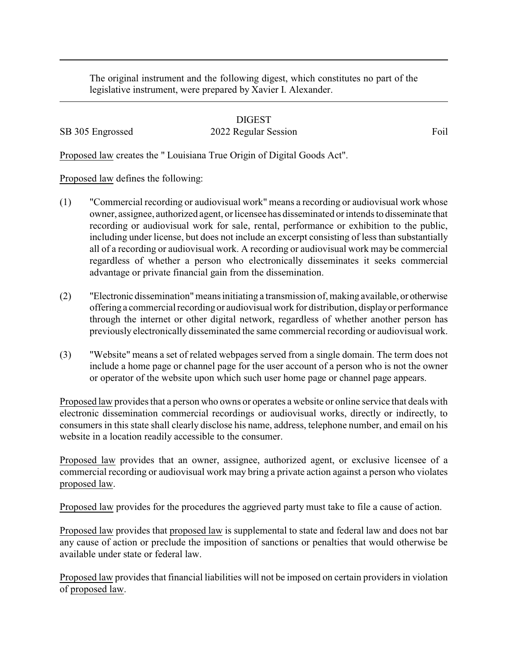The original instrument and the following digest, which constitutes no part of the legislative instrument, were prepared by Xavier I. Alexander.

DIGEST SB 305 Engrossed 2022 Regular Session Foil

Proposed law creates the " Louisiana True Origin of Digital Goods Act".

Proposed law defines the following:

- (1) "Commercial recording or audiovisual work" means a recording or audiovisual work whose owner, assignee, authorized agent, or licensee has disseminated or intends to disseminate that recording or audiovisual work for sale, rental, performance or exhibition to the public, including under license, but does not include an excerpt consisting of less than substantially all of a recording or audiovisual work. A recording or audiovisual work may be commercial regardless of whether a person who electronically disseminates it seeks commercial advantage or private financial gain from the dissemination.
- (2) "Electronic dissemination"means initiating a transmission of, making available, or otherwise offering a commercial recording or audiovisual work for distribution, displayor performance through the internet or other digital network, regardless of whether another person has previously electronically disseminated the same commercial recording or audiovisual work.
- (3) "Website" means a set of related webpages served from a single domain. The term does not include a home page or channel page for the user account of a person who is not the owner or operator of the website upon which such user home page or channel page appears.

Proposed law provides that a person who owns or operates a website or online service that deals with electronic dissemination commercial recordings or audiovisual works, directly or indirectly, to consumers in this state shall clearly disclose his name, address, telephone number, and email on his website in a location readily accessible to the consumer.

Proposed law provides that an owner, assignee, authorized agent, or exclusive licensee of a commercial recording or audiovisual work may bring a private action against a person who violates proposed law.

Proposed law provides for the procedures the aggrieved party must take to file a cause of action.

Proposed law provides that proposed law is supplemental to state and federal law and does not bar any cause of action or preclude the imposition of sanctions or penalties that would otherwise be available under state or federal law.

Proposed law provides that financial liabilities will not be imposed on certain providers in violation of proposed law.